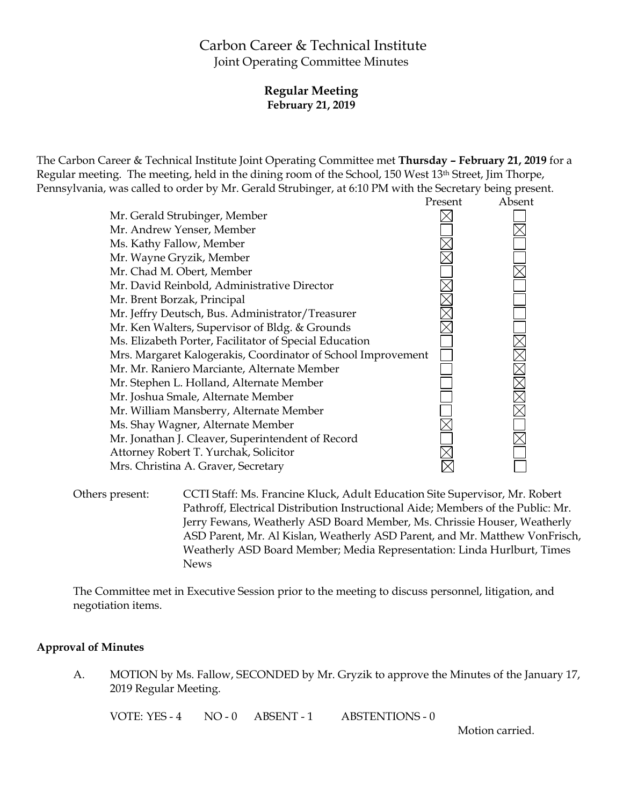# Carbon Career & Technical Institute Joint Operating Committee Minutes

# **Regular Meeting February 21, 2019**

The Carbon Career & Technical Institute Joint Operating Committee met **Thursday – February 21, 2019** for a Regular meeting. The meeting, held in the dining room of the School, 150 West 13th Street, Jim Thorpe, Pennsylvania, was called to order by Mr. Gerald Strubinger, at 6:10 PM with the Secretary being present.



Others present: CCTI Staff: Ms. Francine Kluck, Adult Education Site Supervisor, Mr. Robert Pathroff, Electrical Distribution Instructional Aide; Members of the Public: Mr. Jerry Fewans, Weatherly ASD Board Member, Ms. Chrissie Houser, Weatherly ASD Parent, Mr. Al Kislan, Weatherly ASD Parent, and Mr. Matthew VonFrisch, Weatherly ASD Board Member; Media Representation: Linda Hurlburt, Times News

The Committee met in Executive Session prior to the meeting to discuss personnel, litigation, and negotiation items.

### **Approval of Minutes**

A. MOTION by Ms. Fallow, SECONDED by Mr. Gryzik to approve the Minutes of the January 17, 2019 Regular Meeting.

VOTE: YES - 4 NO - 0 ABSENT - 1 ABSTENTIONS - 0

Motion carried.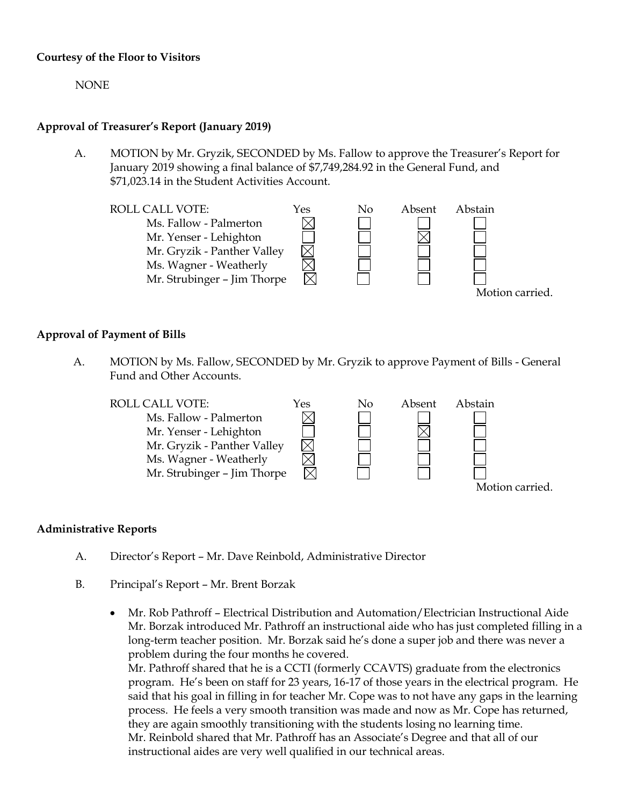### **Courtesy of the Floor to Visitors**

NONE

### **Approval of Treasurer's Report (January 2019)**

A. MOTION by Mr. Gryzik, SECONDED by Ms. Fallow to approve the Treasurer's Report for January 2019 showing a final balance of \$7,749,284.92 in the General Fund, and \$71,023.14 in the Student Activities Account.



### **Approval of Payment of Bills**

A. MOTION by Ms. Fallow, SECONDED by Mr. Gryzik to approve Payment of Bills - General Fund and Other Accounts.



#### **Administrative Reports**

- A. Director's Report Mr. Dave Reinbold, Administrative Director
- B. Principal's Report Mr. Brent Borzak
	- Mr. Rob Pathroff Electrical Distribution and Automation/Electrician Instructional Aide Mr. Borzak introduced Mr. Pathroff an instructional aide who has just completed filling in a long-term teacher position. Mr. Borzak said he's done a super job and there was never a problem during the four months he covered.

Mr. Pathroff shared that he is a CCTI (formerly CCAVTS) graduate from the electronics program. He's been on staff for 23 years, 16-17 of those years in the electrical program. He said that his goal in filling in for teacher Mr. Cope was to not have any gaps in the learning process. He feels a very smooth transition was made and now as Mr. Cope has returned, they are again smoothly transitioning with the students losing no learning time. Mr. Reinbold shared that Mr. Pathroff has an Associate's Degree and that all of our instructional aides are very well qualified in our technical areas.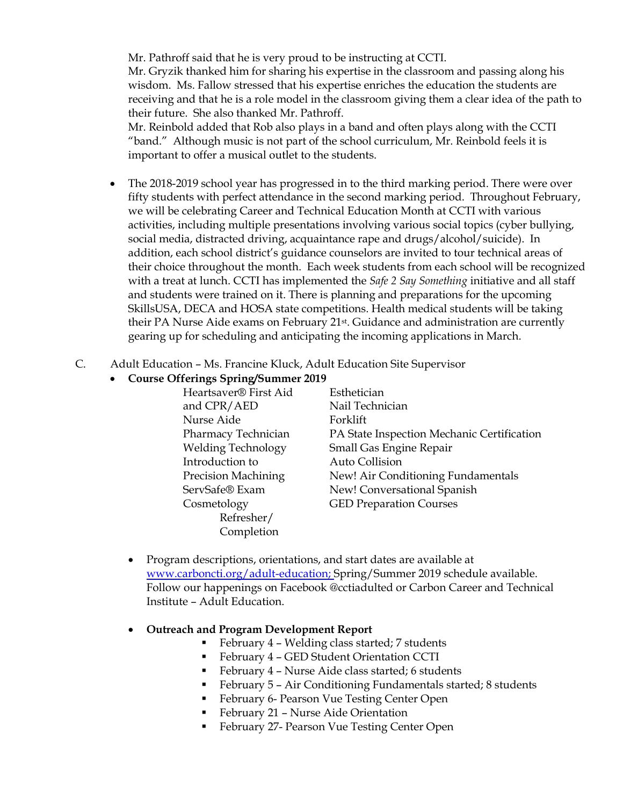Mr. Pathroff said that he is very proud to be instructing at CCTI. Mr. Gryzik thanked him for sharing his expertise in the classroom and passing along his wisdom. Ms. Fallow stressed that his expertise enriches the education the students are receiving and that he is a role model in the classroom giving them a clear idea of the path to their future. She also thanked Mr. Pathroff.

Mr. Reinbold added that Rob also plays in a band and often plays along with the CCTI "band." Although music is not part of the school curriculum, Mr. Reinbold feels it is important to offer a musical outlet to the students.

- The 2018-2019 school year has progressed in to the third marking period. There were over fifty students with perfect attendance in the second marking period. Throughout February, we will be celebrating Career and Technical Education Month at CCTI with various activities, including multiple presentations involving various social topics (cyber bullying, social media, distracted driving, acquaintance rape and drugs/alcohol/suicide). In addition, each school district's guidance counselors are invited to tour technical areas of their choice throughout the month. Each week students from each school will be recognized with a treat at lunch. CCTI has implemented the *Safe 2 Say Something* initiative and all staff and students were trained on it. There is planning and preparations for the upcoming SkillsUSA, DECA and HOSA state competitions. Health medical students will be taking their PA Nurse Aide exams on February 21st. Guidance and administration are currently gearing up for scheduling and anticipating the incoming applications in March.
- C. Adult Education Ms. Francine Kluck, Adult Education Site Supervisor
	- **Course Offerings Spring/Summer 2019**

| Esthetician                                |
|--------------------------------------------|
| Nail Technician                            |
| Forklift                                   |
| PA State Inspection Mechanic Certification |
| Small Gas Engine Repair                    |
| Auto Collision                             |
| New! Air Conditioning Fundamentals         |
| New! Conversational Spanish                |
| <b>GED Preparation Courses</b>             |
|                                            |
|                                            |
|                                            |

- Program descriptions, orientations, and start dates are available at [www.carboncti.org/adult-education;](http://www.carboncti.org/adult-education) Spring/Summer 2019 schedule available. Follow our happenings on Facebook @cctiadulted or Carbon Career and Technical Institute – Adult Education.
- **Outreach and Program Development Report**
	- February 4 Welding class started; 7 students
	- February 4 GED Student Orientation CCTI
	- February 4 Nurse Aide class started; 6 students
	- February 5 Air Conditioning Fundamentals started; 8 students
	- **February 6- Pearson Vue Testing Center Open**
	- **February 21 Nurse Aide Orientation**
	- **February 27- Pearson Vue Testing Center Open**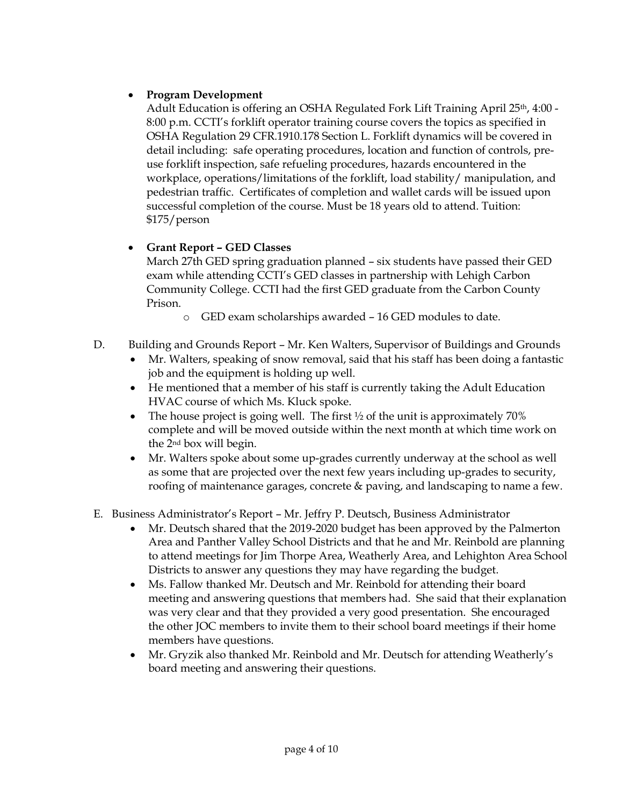# **Program Development**

Adult Education is offering an OSHA Regulated Fork Lift Training April 25th, 4:00 - 8:00 p.m. CCTI's forklift operator training course covers the topics as specified in OSHA Regulation 29 CFR.1910.178 Section L. Forklift dynamics will be covered in detail including: safe operating procedures, location and function of controls, preuse forklift inspection, safe refueling procedures, hazards encountered in the workplace, operations/limitations of the forklift, load stability/ manipulation, and pedestrian traffic. Certificates of completion and wallet cards will be issued upon successful completion of the course. Must be 18 years old to attend. Tuition: \$175/person

# **Grant Report – GED Classes**

March 27th GED spring graduation planned – six students have passed their GED exam while attending CCTI's GED classes in partnership with Lehigh Carbon Community College. CCTI had the first GED graduate from the Carbon County Prison.

- o GED exam scholarships awarded 16 GED modules to date.
- D. Building and Grounds Report Mr. Ken Walters, Supervisor of Buildings and Grounds
	- Mr. Walters, speaking of snow removal, said that his staff has been doing a fantastic job and the equipment is holding up well.
	- He mentioned that a member of his staff is currently taking the Adult Education HVAC course of which Ms. Kluck spoke.
	- The house project is going well. The first  $\frac{1}{2}$  of the unit is approximately 70% complete and will be moved outside within the next month at which time work on the 2nd box will begin.
	- Mr. Walters spoke about some up-grades currently underway at the school as well as some that are projected over the next few years including up-grades to security, roofing of maintenance garages, concrete & paving, and landscaping to name a few.

# E. Business Administrator's Report – Mr. Jeffry P. Deutsch, Business Administrator

- Mr. Deutsch shared that the 2019-2020 budget has been approved by the Palmerton Area and Panther Valley School Districts and that he and Mr. Reinbold are planning to attend meetings for Jim Thorpe Area, Weatherly Area, and Lehighton Area School Districts to answer any questions they may have regarding the budget.
- Ms. Fallow thanked Mr. Deutsch and Mr. Reinbold for attending their board meeting and answering questions that members had. She said that their explanation was very clear and that they provided a very good presentation. She encouraged the other JOC members to invite them to their school board meetings if their home members have questions.
- Mr. Gryzik also thanked Mr. Reinbold and Mr. Deutsch for attending Weatherly's board meeting and answering their questions.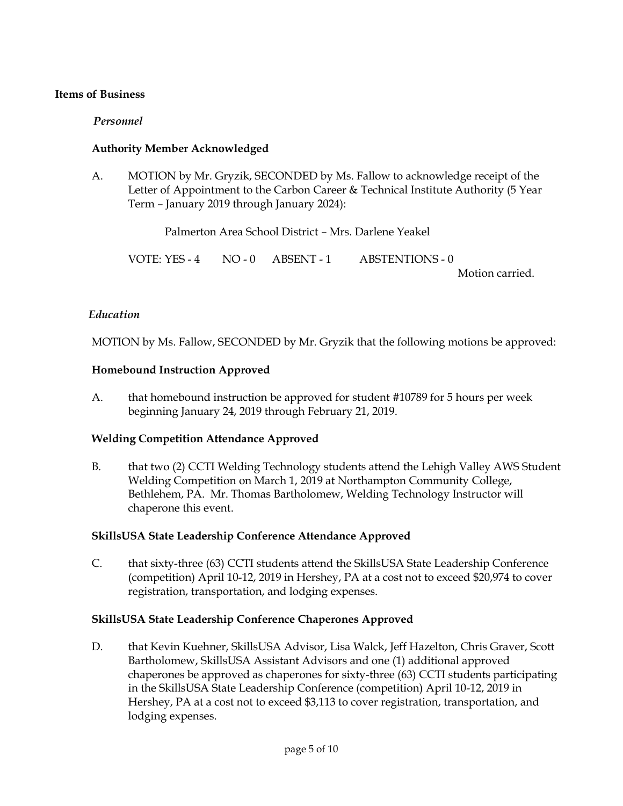### **Items of Business**

### *Personnel*

### **Authority Member Acknowledged**

A. MOTION by Mr. Gryzik, SECONDED by Ms. Fallow to acknowledge receipt of the Letter of Appointment to the Carbon Career & Technical Institute Authority (5 Year Term – January 2019 through January 2024):

Palmerton Area School District – Mrs. Darlene Yeakel

VOTE: YES - 4 NO - 0 ABSENT - 1 ABSTENTIONS - 0

Motion carried.

#### *Education*

MOTION by Ms. Fallow, SECONDED by Mr. Gryzik that the following motions be approved:

### **Homebound Instruction Approved**

A. that homebound instruction be approved for student #10789 for 5 hours per week beginning January 24, 2019 through February 21, 2019.

#### **Welding Competition Attendance Approved**

B. that two (2) CCTI Welding Technology students attend the Lehigh Valley AWS Student Welding Competition on March 1, 2019 at Northampton Community College, Bethlehem, PA. Mr. Thomas Bartholomew, Welding Technology Instructor will chaperone this event.

### **SkillsUSA State Leadership Conference Attendance Approved**

C. that sixty-three (63) CCTI students attend the SkillsUSA State Leadership Conference (competition) April 10-12, 2019 in Hershey, PA at a cost not to exceed \$20,974 to cover registration, transportation, and lodging expenses.

#### **SkillsUSA State Leadership Conference Chaperones Approved**

D. that Kevin Kuehner, SkillsUSA Advisor, Lisa Walck, Jeff Hazelton, Chris Graver, Scott Bartholomew, SkillsUSA Assistant Advisors and one (1) additional approved chaperones be approved as chaperones for sixty-three (63) CCTI students participating in the SkillsUSA State Leadership Conference (competition) April 10-12, 2019 in Hershey, PA at a cost not to exceed \$3,113 to cover registration, transportation, and lodging expenses.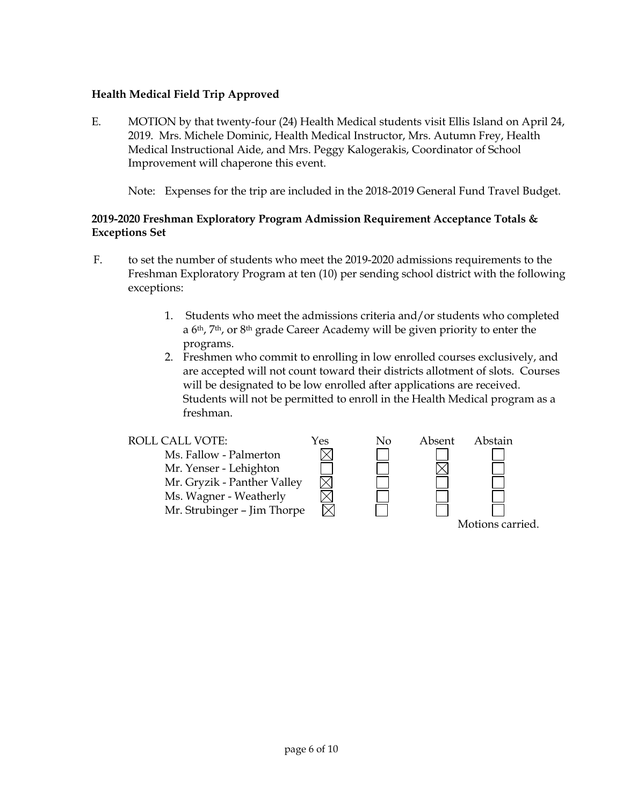# **Health Medical Field Trip Approved**

E. MOTION by that twenty-four (24) Health Medical students visit Ellis Island on April 24, 2019. Mrs. Michele Dominic, Health Medical Instructor, Mrs. Autumn Frey, Health Medical Instructional Aide, and Mrs. Peggy Kalogerakis, Coordinator of School Improvement will chaperone this event.

Note: Expenses for the trip are included in the 2018-2019 General Fund Travel Budget.

# **2019-2020 Freshman Exploratory Program Admission Requirement Acceptance Totals & Exceptions Set**

- F. to set the number of students who meet the 2019-2020 admissions requirements to the Freshman Exploratory Program at ten (10) per sending school district with the following exceptions:
	- 1. Students who meet the admissions criteria and/or students who completed a 6th, 7th, or 8th grade Career Academy will be given priority to enter the programs.
	- 2. Freshmen who commit to enrolling in low enrolled courses exclusively, and are accepted will not count toward their districts allotment of slots. Courses will be designated to be low enrolled after applications are received. Students will not be permitted to enroll in the Health Medical program as a freshman.

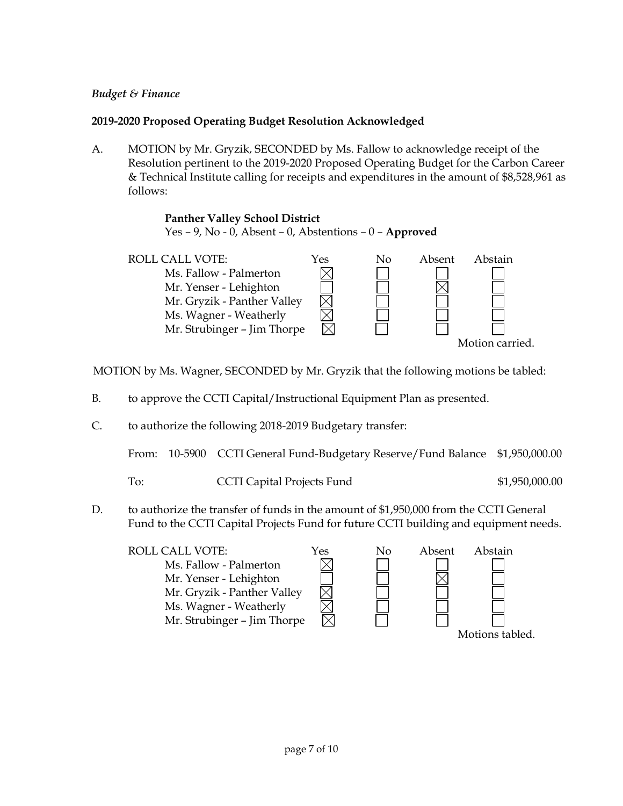### *Budget & Finance*

# **2019-2020 Proposed Operating Budget Resolution Acknowledged**

A. MOTION by Mr. Gryzik, SECONDED by Ms. Fallow to acknowledge receipt of the Resolution pertinent to the 2019-2020 Proposed Operating Budget for the Carbon Career & Technical Institute calling for receipts and expenditures in the amount of \$8,528,961 as follows:

### **Panther Valley School District**

Yes – 9, No - 0, Absent – 0, Abstentions – 0 – **Approved**



MOTION by Ms. Wagner, SECONDED by Mr. Gryzik that the following motions be tabled:

- B. to approve the CCTI Capital/Instructional Equipment Plan as presented.
- C. to authorize the following 2018-2019 Budgetary transfer:

From: 10-5900 CCTI General Fund-Budgetary Reserve/Fund Balance \$1,950,000.00

- To: CCTI Capital Projects Fund \$1,950,000.00
- D. to authorize the transfer of funds in the amount of \$1,950,000 from the CCTI General Fund to the CCTI Capital Projects Fund for future CCTI building and equipment needs.

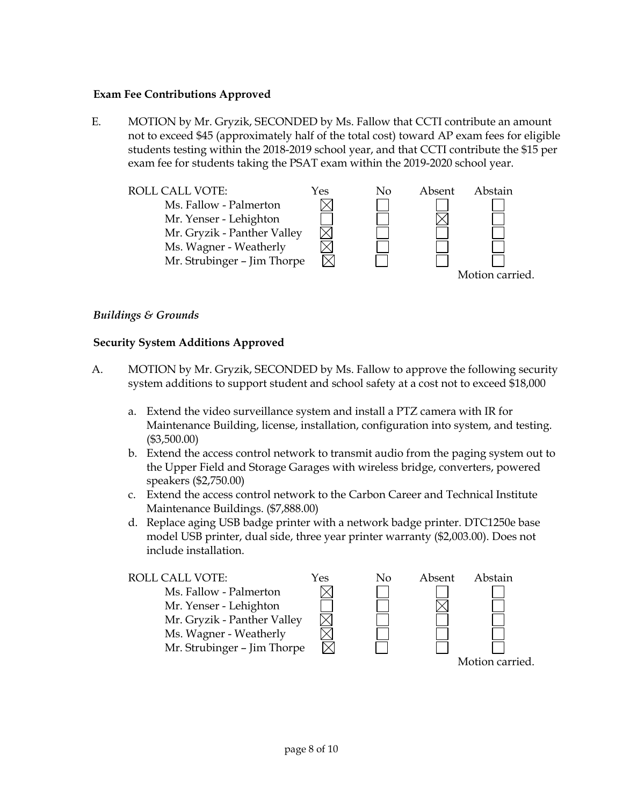### **Exam Fee Contributions Approved**

E. MOTION by Mr. Gryzik, SECONDED by Ms. Fallow that CCTI contribute an amount not to exceed \$45 (approximately half of the total cost) toward AP exam fees for eligible students testing within the 2018-2019 school year, and that CCTI contribute the \$15 per exam fee for students taking the PSAT exam within the 2019-2020 school year.



### *Buildings & Grounds*

### **Security System Additions Approved**

- A. MOTION by Mr. Gryzik, SECONDED by Ms. Fallow to approve the following security system additions to support student and school safety at a cost not to exceed \$18,000
	- a. Extend the video surveillance system and install a PTZ camera with IR for Maintenance Building, license, installation, configuration into system, and testing. (\$3,500.00)
	- b. Extend the access control network to transmit audio from the paging system out to the Upper Field and Storage Garages with wireless bridge, converters, powered speakers (\$2,750.00)
	- c. Extend the access control network to the Carbon Career and Technical Institute Maintenance Buildings. (\$7,888.00)
	- d. Replace aging USB badge printer with a network badge printer. DTC1250e base model USB printer, dual side, three year printer warranty (\$2,003.00). Does not include installation.

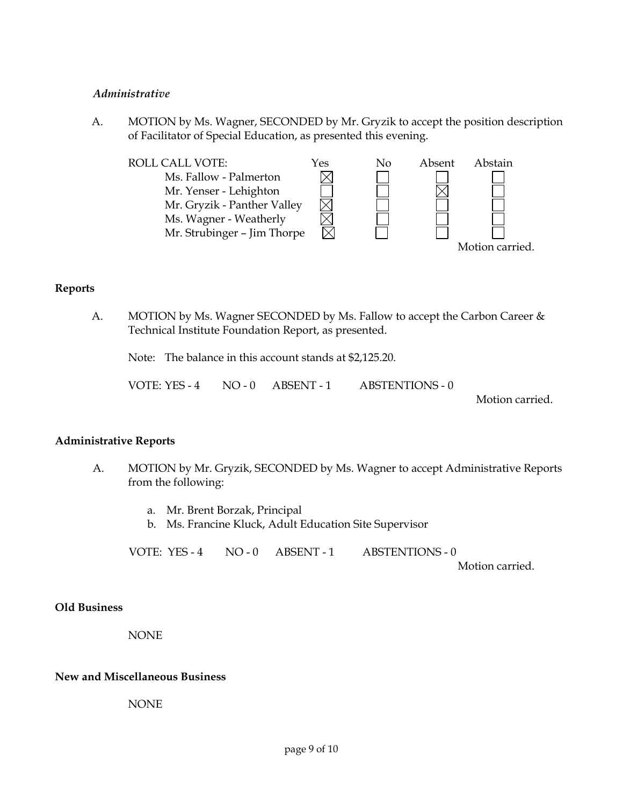#### *Administrative*

A. MOTION by Ms. Wagner, SECONDED by Mr. Gryzik to accept the position description of Facilitator of Special Education, as presented this evening.



### **Reports**

A. MOTION by Ms. Wagner SECONDED by Ms. Fallow to accept the Carbon Career & Technical Institute Foundation Report, as presented.

Note: The balance in this account stands at \$2,125.20.

VOTE: YES - 4 NO - 0 ABSENT - 1 ABSTENTIONS - 0

Motion carried.

### **Administrative Reports**

- A. MOTION by Mr. Gryzik, SECONDED by Ms. Wagner to accept Administrative Reports from the following:
	- a. Mr. Brent Borzak, Principal
	- b. Ms. Francine Kluck, Adult Education Site Supervisor

VOTE: YES - 4 NO - 0 ABSENT - 1 ABSTENTIONS - 0

Motion carried.

### **Old Business**

NONE

#### **New and Miscellaneous Business**

NONE